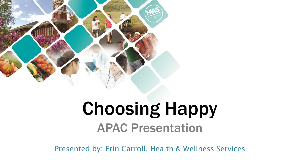

### Choosing Happy APAC Presentation

Presented by: Erin Carroll, Health & Wellness Services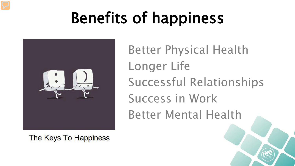## Benefits of happiness



Better Physical Health Longer Life Successful Relationships Success in Work Better Mental Health

The Keys To Happiness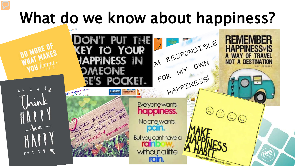## What do we know about happiness?

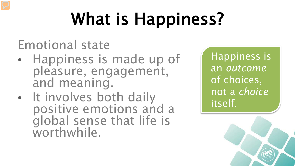## What is Happiness?

Emotional state

- Happiness is made up of pleasure, engagement, and meaning.
- It involves both daily positive emotions and a global sense that life is worthwhile.

Happiness is an *outcome* of choices, not a *choice* itself.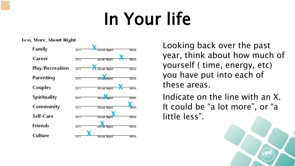## In Your life

#### Less, More, About Right

| Family          | Less |                   | More |
|-----------------|------|-------------------|------|
| Career          | Less | about Right       | More |
| Play/Recreation | Less | About Right       | More |
| Parenting       | Less | Abo A Ruht        | More |
| Couples         | Less | About Right       | More |
| Spirituality    | Less | About <b>Yaht</b> | More |
| Community       | Less | About Right       | More |
| Self-Care       | Less | About Rig         | More |
| <b>Friends</b>  | Less | About             | More |
| Culture         | Less | About Right       | More |

Looking back over the past year, think about how much of yourself ( time, energy, etc) you have put into each of these areas.

Indicate on the line with an X. It could be "a lot more", or "a little less".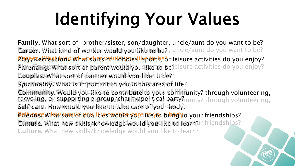# Identifying Your Values

Family. What sort of brother/sister, son/daughter, uncle/aunt do you want to be? **Career. What kind of worker would you like to be?**, uncle/aunt do you want to be? Payerrel/feationd what sters would blouslike of the leisure activities do you enjoy? PlayenRengeWhan sorth of parent would igous playet to be?eisure activities do you enjoy? Couprics. What is one ron partner twould you like to be? Spiritualityhwhat is important vou ou du muthis area of life? ©omimahity.Woulও you like to contribute to your commissionity? through volunteering,<br>ច្នេស្សណូត្រូវ pr. supporting គន្ធ្រាច្នុមខ្ពស់ពួកគ្រប់ស្រុងដូច្នា party? unity? through volunteering. Self-dare. How would you like to take care of your body. <mark>Friendse what sopuls ነውህ lit</mark>kesto ouke you like you br<mark>ing</mark> to your friendships? Culture. What new skills Aknowledge would you like to learn? Irriendships? COMMUNITY. WORRIYOG FLGIRUP/GRANTY/POLIYGEL REFIYAUnity? through volunteering,<br>Self-Care, Flow-would vou like to take care of vourPood Culture. What new skills/knowledge would you like to learn?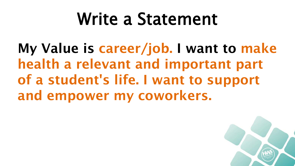## Write a Statement

My Value is career/job. I want to make health a relevant and important part of a student's life. I want to support and empower my coworkers.

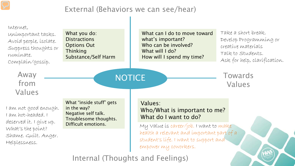#### External (Behaviors we can see/hear)



Internal (Thoughts and Feelings)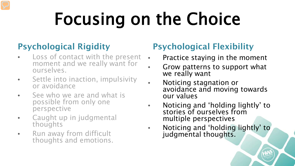# Focusing on the Choice

### Psychological Rigidity

- Loss of contact with the present moment and we really want for ourselves.
- Settle into inaction, impulsivity or avoidance
- See who we are and what is possible from only one perspective
- Caught up in judgmental thoughts
- Run away from difficult thoughts and emotions.

### Psychological Flexibility

- Practice staying in the moment
- Grow patterns to support what we really want
- Noticing stagnation or avoidance and moving towards our values
- Noticing and 'holding lightly' to stories of ourselves from multiple perspectives
- Noticing and 'holding lightly' to judgmental thoughts.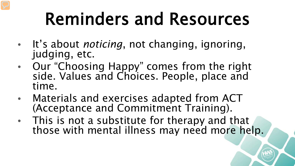## Reminders and Resources

- It's about *noticing*, not changing, ignoring, judging, etc.
- Our "Choosing Happy" comes from the right side. Values and Choices. People, place and time.
- Materials and exercises adapted from ACT (Acceptance and Commitment Training).
- This is not a substitute for therapy and that those with mental illness may need more help.